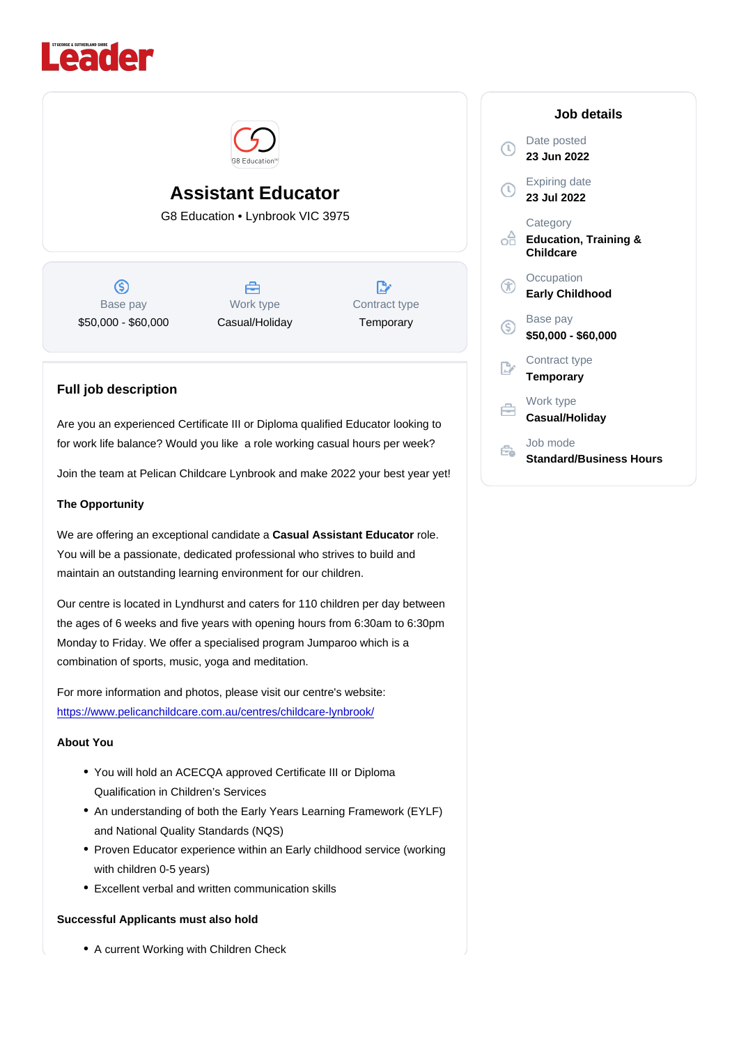# Assistant Educator

G8 Education • Lynbrook VIC 3975

Base pay \$50,000 - \$60,000

Work type Casual/Holiday Contract type **Temporary** 

## Full job description

Are you an experienced Certificate III or Diploma qualified Educator looking to for work life balance? Would you like a role working casual hours per week?

Join the team at Pelican Childcare Lynbrook and make 2022 your best year yet!

## The Opportunity

We are offering an exceptional candidate a Casual Assistant Educator role. You will be a passionate, dedicated professional who strives to build and maintain an outstanding learning environment for our children.

Our centre is located in Lyndhurst and caters for 110 children per day between the ages of 6 weeks and five years with opening hours from 6:30am to 6:30pm Monday to Friday. We offer a specialised program Jumparoo which is a combination of sports, music, yoga and meditation.

For more information and photos, please visit our centre's website: <https://www.pelicanchildcare.com.au/centres/childcare-lynbrook/>

### About You

- You will hold an ACECQA approved Certificate III or Diploma Qualification in Children's Services
- An understanding of both the Early Years Learning Framework (EYLF) and National Quality Standards (NQS)
- Proven Educator experience within an Early childhood service (working with children 0-5 years)
- Excellent verbal and written communication skills

Successful Applicants must also hold

A current Working with Children Check

#### Job details

Date posted 23 Jun 2022

Expiring date 23 Jul 2022

**Category** Education, Training & **Childcare** 

**Occupation** Early Childhood

Base pay \$50,000 - \$60,000

Contract type **Temporary** 

Work type Casual/Holiday

Job mode Standard/Business Hours